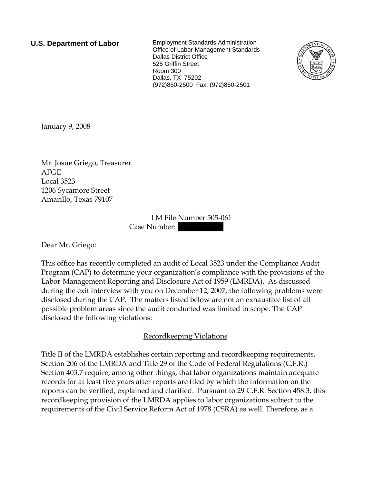**U.S. Department of Labor** Employment Standards Administration Office of Labor-Management Standards Dallas District Office 525 Griffin Street Room 300 Dallas, TX 75202 (972)850-2500 Fax: (972)850-2501



January 9, 2008

Mr. Josue Griego, Treasurer AFGE Local 3523 1206 Sycamore Street Amarillo, Texas 79107

> LM File Number 505-061 Case Number:

Dear Mr. Griego:

This office has recently completed an audit of Local 3523 under the Compliance Audit Program (CAP) to determine your organization's compliance with the provisions of the Labor-Management Reporting and Disclosure Act of 1959 (LMRDA). As discussed during the exit interview with you on December 12, 2007, the following problems were disclosed during the CAP. The matters listed below are not an exhaustive list of all possible problem areas since the audit conducted was limited in scope. The CAP disclosed the following violations:

# Recordkeeping Violations

Title II of the LMRDA establishes certain reporting and recordkeeping requirements. Section 206 of the LMRDA and Title 29 of the Code of Federal Regulations (C.F.R.) Section 403.7 require, among other things, that labor organizations maintain adequate records for at least five years after reports are filed by which the information on the reports can be verified, explained and clarified. Pursuant to 29 C.F.R. Section 458.3, this recordkeeping provision of the LMRDA applies to labor organizations subject to the requirements of the Civil Service Reform Act of 1978 (CSRA) as well. Therefore, as a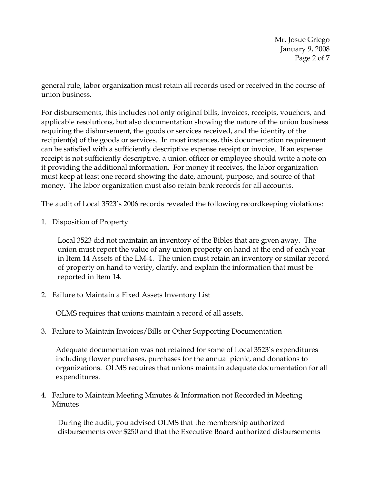Mr. Josue Griego January 9, 2008 Page 2 of 7

general rule, labor organization must retain all records used or received in the course of union business.

For disbursements, this includes not only original bills, invoices, receipts, vouchers, and applicable resolutions, but also documentation showing the nature of the union business requiring the disbursement, the goods or services received, and the identity of the recipient(s) of the goods or services. In most instances, this documentation requirement can be satisfied with a sufficiently descriptive expense receipt or invoice. If an expense receipt is not sufficiently descriptive, a union officer or employee should write a note on it providing the additional information. For money it receives, the labor organization must keep at least one record showing the date, amount, purpose, and source of that money. The labor organization must also retain bank records for all accounts.

The audit of Local 3523's 2006 records revealed the following recordkeeping violations:

1. Disposition of Property

Local 3523 did not maintain an inventory of the Bibles that are given away. The union must report the value of any union property on hand at the end of each year in Item 14 Assets of the LM-4. The union must retain an inventory or similar record of property on hand to verify, clarify, and explain the information that must be reported in Item 14.

2. Failure to Maintain a Fixed Assets Inventory List

OLMS requires that unions maintain a record of all assets.

3. Failure to Maintain Invoices/Bills or Other Supporting Documentation

Adequate documentation was not retained for some of Local 3523's expenditures including flower purchases, purchases for the annual picnic, and donations to organizations. OLMS requires that unions maintain adequate documentation for all expenditures.

4. Failure to Maintain Meeting Minutes & Information not Recorded in Meeting **Minutes** 

During the audit, you advised OLMS that the membership authorized disbursements over \$250 and that the Executive Board authorized disbursements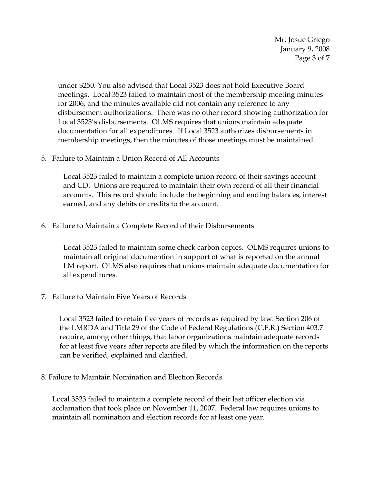Mr. Josue Griego January 9, 2008 Page 3 of 7

under \$250. You also advised that Local 3523 does not hold Executive Board meetings. Local 3523 failed to maintain most of the membership meeting minutes for 2006, and the minutes available did not contain any reference to any disbursement authorizations. There was no other record showing authorization for Local 3523's disbursements. OLMS requires that unions maintain adequate documentation for all expenditures. If Local 3523 authorizes disbursements in membership meetings, then the minutes of those meetings must be maintained.

5. Failure to Maintain a Union Record of All Accounts

Local 3523 failed to maintain a complete union record of their savings account and CD. Unions are required to maintain their own record of all their financial accounts. This record should include the beginning and ending balances, interest earned, and any debits or credits to the account.

6. Failure to Maintain a Complete Record of their Disbursements

Local 3523 failed to maintain some check carbon copies. OLMS requires unions to maintain all original documention in support of what is reported on the annual LM report. OLMS also requires that unions maintain adequate documentation for all expenditures.

7. Failure to Maintain Five Years of Records

Local 3523 failed to retain five years of records as required by law. Section 206 of the LMRDA and Title 29 of the Code of Federal Regulations (C.F.R.) Section 403.7 require, among other things, that labor organizations maintain adequate records for at least five years after reports are filed by which the information on the reports can be verified, explained and clarified.

8. Failure to Maintain Nomination and Election Records

Local 3523 failed to maintain a complete record of their last officer election via acclamation that took place on November 11, 2007. Federal law requires unions to maintain all nomination and election records for at least one year.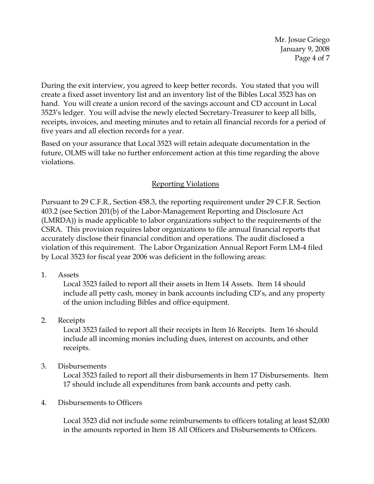Mr. Josue Griego January 9, 2008 Page 4 of 7

During the exit interview, you agreed to keep better records. You stated that you will create a fixed asset inventory list and an inventory list of the Bibles Local 3523 has on hand. You will create a union record of the savings account and CD account in Local 3523's ledger. You will advise the newly elected Secretary-Treasurer to keep all bills, receipts, invoices, and meeting minutes and to retain all financial records for a period of five years and all election records for a year.

Based on your assurance that Local 3523 will retain adequate documentation in the future, OLMS will take no further enforcement action at this time regarding the above violations.

# Reporting Violations

Pursuant to 29 C.F.R., Section 458.3, the reporting requirement under 29 C.F.R. Section 403.2 (see Section 201(b) of the Labor-Management Reporting and Disclosure Act (LMRDA)) is made applicable to labor organizations subject to the requirements of the CSRA. This provision requires labor organizations to file annual financial reports that accurately disclose their financial condition and operations. The audit disclosed a violation of this requirement. The Labor Organization Annual Report Form LM-4 filed by Local 3523 for fiscal year 2006 was deficient in the following areas:

1. Assets

Local 3523 failed to report all their assets in Item 14 Assets. Item 14 should include all petty cash, money in bank accounts including CD's, and any property of the union including Bibles and office equipment.

#### 2. Receipts

Local 3523 failed to report all their receipts in Item 16 Receipts. Item 16 should include all incoming monies including dues, interest on accounts, and other receipts.

3. Disbursements

Local 3523 failed to report all their disbursements in Item 17 Disbursements. Item 17 should include all expenditures from bank accounts and petty cash.

#### 4. Disbursements to Officers

Local 3523 did not include some reimbursements to officers totaling at least \$2,000 in the amounts reported in Item 18 All Officers and Disbursements to Officers.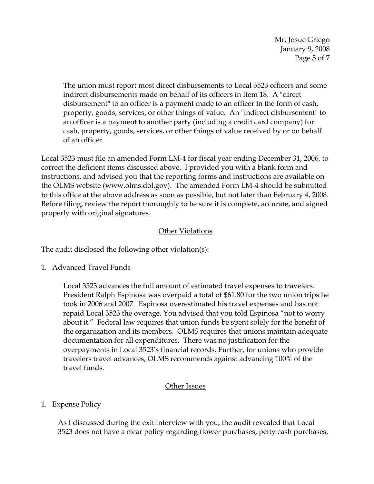Mr. Josue Griego January 9, 2008 Page 5 of 7

The union must report most direct disbursements to Local 3523 officers and some indirect disbursements made on behalf of its officers in Item 18. A "direct disbursement" to an officer is a payment made to an officer in the form of cash, property, goods, services, or other things of value. An "indirect disbursement" to an officer is a payment to another party (including a credit card company) for cash, property, goods, services, or other things of value received by or on behalf of an officer.

Local 3523 must file an amended Form LM-4 for fiscal year ending December 31, 2006, to correct the deficient items discussed above. I provided you with a blank form and instructions, and advised you that the reporting forms and instructions are available on the OLMS website (www.olms.dol.gov). The amended Form LM-4 should be submitted to this office at the above address as soon as possible, but not later than February 4, 2008. Before filing, review the report thoroughly to be sure it is complete, accurate, and signed properly with original signatures.

# Other Violations

The audit disclosed the following other violation(s):

1. Advanced Travel Funds

Local 3523 advances the full amount of estimated travel expenses to travelers. President Ralph Espinosa was overpaid a total of \$61.80 for the two union trips he took in 2006 and 2007. Espinosa overestimated his travel expenses and has not repaid Local 3523 the overage. You advised that you told Espinosa "not to worry about it." Federal law requires that union funds be spent solely for the benefit of the organization and its members. OLMS requires that unions maintain adequate documentation for all expenditures. There was no justification for the overpayments in Local 3523's financial records. Further, for unions who provide travelers travel advances, OLMS recommends against advancing 100% of the travel funds.

# Other Issues

# 1. Expense Policy

As I discussed during the exit interview with you, the audit revealed that Local 3523 does not have a clear policy regarding flower purchases, petty cash purchases,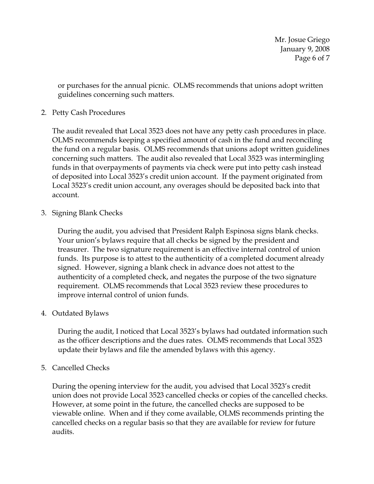Mr. Josue Griego January 9, 2008 Page 6 of 7

or purchases for the annual picnic. OLMS recommends that unions adopt written guidelines concerning such matters.

#### 2. Petty Cash Procedures

The audit revealed that Local 3523 does not have any petty cash procedures in place. OLMS recommends keeping a specified amount of cash in the fund and reconciling the fund on a regular basis. OLMS recommends that unions adopt written guidelines concerning such matters. The audit also revealed that Local 3523 was intermingling funds in that overpayments of payments via check were put into petty cash instead of deposited into Local 3523's credit union account. If the payment originated from Local 3523's credit union account, any overages should be deposited back into that account.

3. Signing Blank Checks

During the audit, you advised that President Ralph Espinosa signs blank checks. Your union's bylaws require that all checks be signed by the president and treasurer. The two signature requirement is an effective internal control of union funds. Its purpose is to attest to the authenticity of a completed document already signed. However, signing a blank check in advance does not attest to the authenticity of a completed check, and negates the purpose of the two signature requirement. OLMS recommends that Local 3523 review these procedures to improve internal control of union funds.

#### 4. Outdated Bylaws

During the audit, I noticed that Local 3523's bylaws had outdated information such as the officer descriptions and the dues rates. OLMS recommends that Local 3523 update their bylaws and file the amended bylaws with this agency.

5. Cancelled Checks

During the opening interview for the audit, you advised that Local 3523's credit union does not provide Local 3523 cancelled checks or copies of the cancelled checks. However, at some point in the future, the cancelled checks are supposed to be viewable online. When and if they come available, OLMS recommends printing the cancelled checks on a regular basis so that they are available for review for future audits.